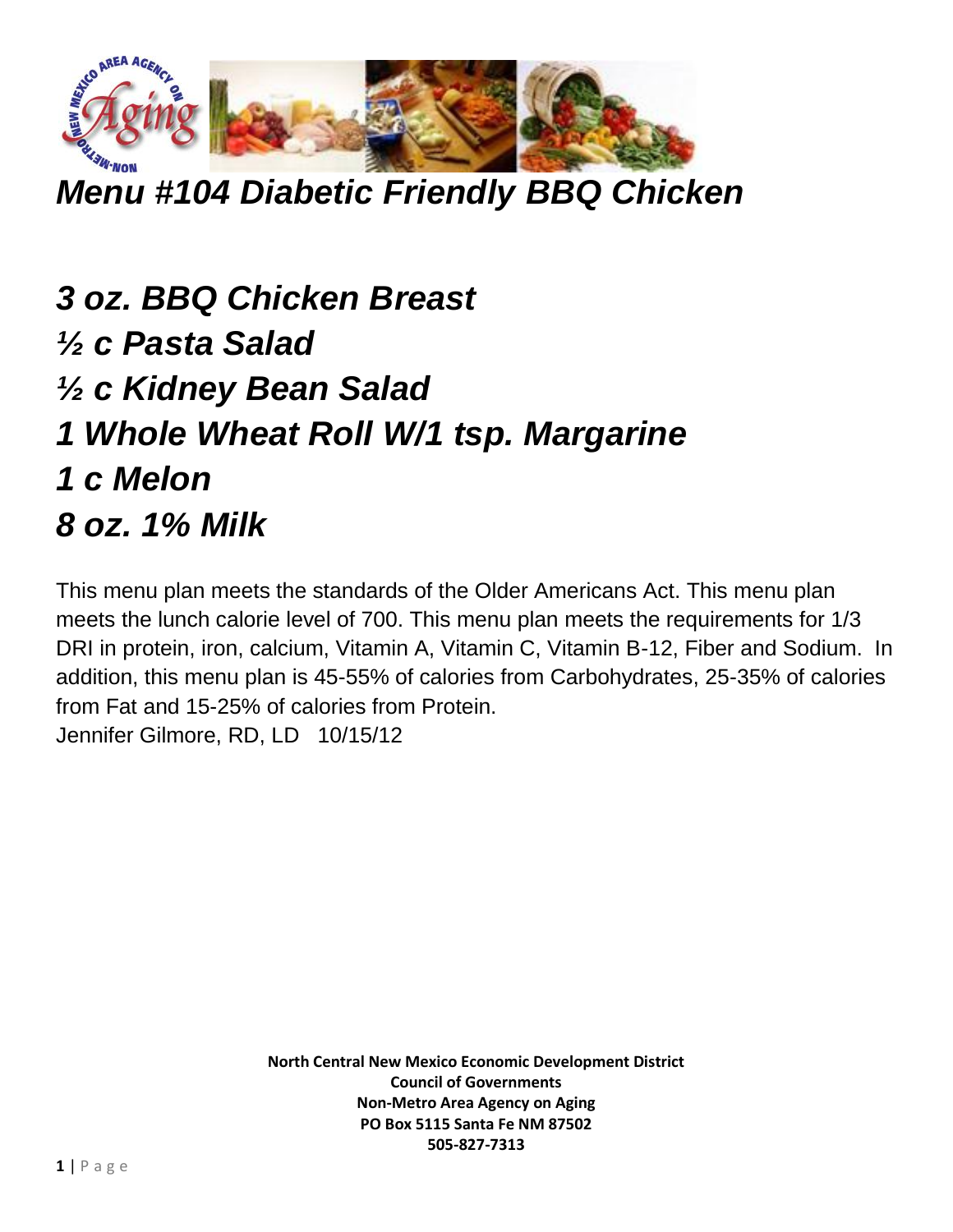

*Menu #104 Diabetic Friendly BBQ Chicken*

*3 oz. BBQ Chicken Breast ½ c Pasta Salad ½ c Kidney Bean Salad 1 Whole Wheat Roll W/1 tsp. Margarine 1 c Melon 8 oz. 1% Milk*

This menu plan meets the standards of the Older Americans Act. This menu plan meets the lunch calorie level of 700. This menu plan meets the requirements for 1/3 DRI in protein, iron, calcium, Vitamin A, Vitamin C, Vitamin B-12, Fiber and Sodium. In addition, this menu plan is 45-55% of calories from Carbohydrates, 25-35% of calories from Fat and 15-25% of calories from Protein. Jennifer Gilmore, RD, LD 10/15/12

> **North Central New Mexico Economic Development District Council of Governments Non-Metro Area Agency on Aging PO Box 5115 Santa Fe NM 87502 505-827-7313**